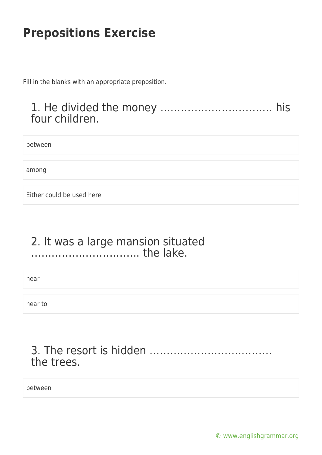Fill in the blanks with an appropriate preposition.

#### 1. He divided the money …………………………… his four children.

between

among

Either could be used here

#### 2. It was a large mansion situated ………………………….. the lake.

near

near to

### 3. The resort is hidden ……………………………… the trees.

between

[© www.englishgrammar.org](https://www.englishgrammar.org/)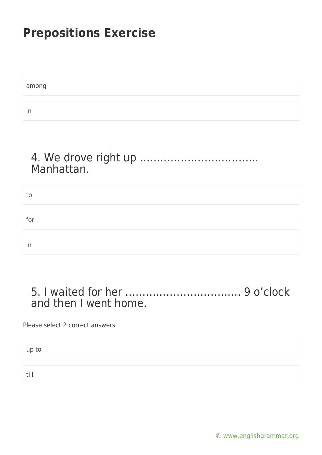among in

#### 4. We drove right up …………………………….. Manhattan.

| to  |  |
|-----|--|
|     |  |
|     |  |
| for |  |
|     |  |
|     |  |
| in  |  |

#### 5. I waited for her ……………………………. 9 o'clock and then I went home.

Please select 2 correct answers

up to

till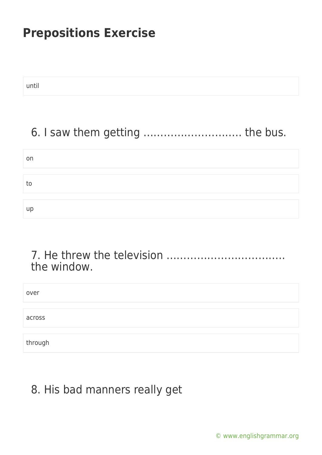until

# 6. I saw them getting ……………………….. the bus.

| on |  |  |  |
|----|--|--|--|
|    |  |  |  |
| to |  |  |  |
|    |  |  |  |
| up |  |  |  |

#### 7. He threw the television …………………………….. the window.

| over    |  |  |
|---------|--|--|
|         |  |  |
| across  |  |  |
|         |  |  |
| through |  |  |

# 8. His bad manners really get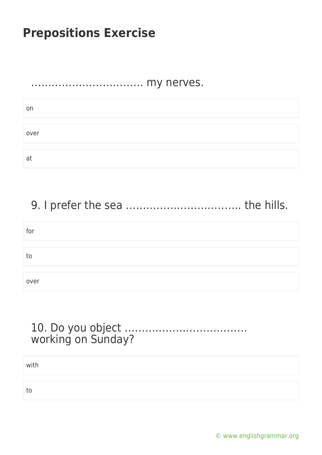#### …………………………… my nerves.

| on   |  |  |
|------|--|--|
|      |  |  |
| over |  |  |
|      |  |  |
| a    |  |  |

# 9. I prefer the sea ……………………………. the hills.

| for  |  |
|------|--|
|      |  |
| to   |  |
|      |  |
| over |  |

### 10. Do you object ……………………………… working on Sunday?

with

to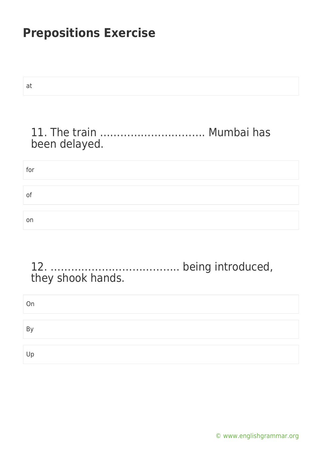| . .<br>-              | . .<br>. . |
|-----------------------|------------|
| e e<br>m.<br>×<br>. . | . .<br>×   |

for

## 11. The train …………………………. Mumbai has been delayed.

# of on

### 12. ……………………………….. being introduced, they shook hands.

| On                        |  |  |  |
|---------------------------|--|--|--|
|                           |  |  |  |
| $\mathsf{B}_{\mathsf{V}}$ |  |  |  |
|                           |  |  |  |
| Up                        |  |  |  |

[© www.englishgrammar.org](https://www.englishgrammar.org/)